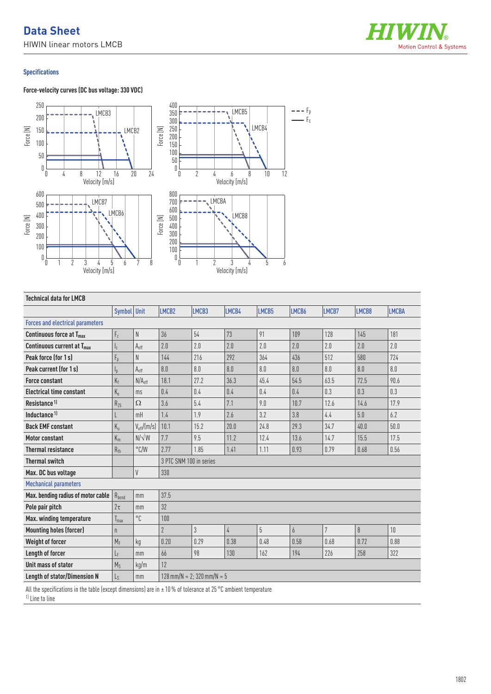

## **Specifications**

## **Force-velocity curves (DC bus voltage: 330 VDC)**



| <b>Technical data for LMCB</b>          |                  |                        |                              |                |            |       |                |                |       |              |
|-----------------------------------------|------------------|------------------------|------------------------------|----------------|------------|-------|----------------|----------------|-------|--------------|
|                                         | Symbol Unit      |                        | LMCB <sub>2</sub>            | LMCB3          | LMCB4      | LMCB5 | LMCB6          | LMCB7          | LMCB8 | <b>LMCBA</b> |
| <b>Forces and electrical parameters</b> |                  |                        |                              |                |            |       |                |                |       |              |
| Continuous force at $Tmax$              | $F_c$            | N                      | 36                           | 54             | 73         | 91    | 109            | 128            | 145   | 181          |
| Continuous current at T <sub>max</sub>  | $I_{c}$          | $A_{\text{eff}}$       | 2.0                          | 2.0            | 2.0        | 2.0   | 2.0            | 2.0            | 2.0   | 2.0          |
| Peak force (for 1s)                     | $F_p$            | N                      | 144                          | 216            | 292        | 364   | 436            | 512            | 580   | 724          |
| Peak current (for 1s)                   | $I_{p}$          | A <sub>eff</sub>       | 8.0                          | 8.0            | 8.0        | 8.0   | 8.0            | 8.0            | 8.0   | 8.0          |
| <b>Force constant</b>                   | $K_f$            | N/A <sub>eff</sub>     | 18.1                         | 27.2           | 36.3       | 45.4  | 54.5           | 63.5           | 72.5  | 90.6         |
| <b>Electrical time constant</b>         | $K_{\rm e}$      | ms                     | 0.4                          | 0.4            | 0.4        | 0.4   | 0.4            | 0.3            | 0.3   | 0.3          |
| Resistance <sup>1)</sup>                | $R_{25}$         | Ω                      | 3.6                          | 5.4            | 7.1        | 9.0   | 10.7           | 12.6           | 14.6  | 17.9         |
| Inductance <sup>1)</sup>                |                  | mH                     | 1.4                          | 1.9            | 2.6        | 3.2   | 3.8            | 4.4            | 5.0   | 6.2          |
| <b>Back EMF constant</b>                | $K_{\rm u}$      | $V_{\text{eff}}/[m/s]$ | 10.1                         | 15.2           | 20.0       | 24.8  | 29.3           | 34.7           | 40.0  | 50.0         |
| <b>Motor constant</b>                   | $K_m$            | $N/\sqrt{W}$           | 7.7                          | 9.5            | 11.2       | 12.4  | 13.6           | 14.7           | 15.5  | 17.5         |
| <b>Thermal resistance</b>               | $R_{th}$         | $\degree$ C/W          | 2.77                         | 1.85           | 1.41       | 1.11  | 0.93           | 0.79           | 0.68  | 0.56         |
| <b>Thermal switch</b>                   |                  |                        | 3 PTC SNM 100 in series      |                |            |       |                |                |       |              |
| Max. DC bus voltage                     |                  | V                      | 330                          |                |            |       |                |                |       |              |
| <b>Mechanical parameters</b>            |                  |                        |                              |                |            |       |                |                |       |              |
| Max. bending radius of motor cable      | $R_{bend}$       | mm                     | 37.5                         |                |            |       |                |                |       |              |
| Pole pair pitch                         | $2\tau$          | mm                     | 32                           |                |            |       |                |                |       |              |
| Max. winding temperature                | $T_{\text{max}}$ | $^{\circ}C$            | 100                          |                |            |       |                |                |       |              |
| <b>Mounting holes (forcer)</b>          | $\mathsf{n}$     |                        | $\overline{2}$               | $\mathfrak{Z}$ | $\sqrt{4}$ | 5     | $\overline{6}$ | $\overline{7}$ | 8     | 10           |
| <b>Weight of forcer</b>                 | $M_F$            | kg                     | 0.20                         | 0.29           | 0.38       | 0.48  | 0.58           | 0.68           | 0.72  | 0.88         |
| Length of forcer                        | LF               | mm                     | 66                           | 98             | 130        | 162   | 194            | 226            | 258   | 322          |
| Unit mass of stator                     | $M_S$            | kg/m                   | 12                           |                |            |       |                |                |       |              |
| <b>Length of stator/Dimension N</b>     | Ls               | mm                     | $128$ mm/N = 2; 320 mm/N = 5 |                |            |       |                |                |       |              |

All the specifications in the table (except dimensions) are in  $\pm$  10 % of tolerance at 25 °C ambient temperature

1) Line to line